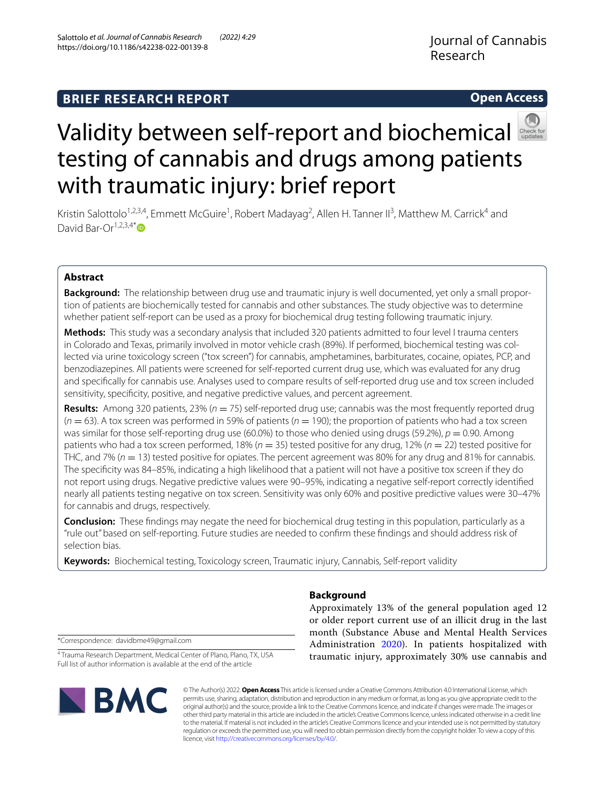Salottolo *et al. Journal of Cannabis Research (2022) 4:29* 

# **Open Access**



# Validitybetween self-report and biochemical testing of cannabis and drugs among patients with traumatic injury: brief report

Kristin Salottolo<sup>1,2,3,4</sup>, Emmett McGuire<sup>1</sup>, Robert Madayag<sup>2</sup>, Allen H. Tanner II<sup>3</sup>, Matthew M. Carrick<sup>4</sup> and David Bar-Or<sup>1,2,3,4\*</sup>

# **Abstract**

**Background:** The relationship between drug use and traumatic injury is well documented, yet only a small proportion of patients are biochemically tested for cannabis and other substances. The study objective was to determine whether patient self-report can be used as a proxy for biochemical drug testing following traumatic injury.

**Methods:** This study was a secondary analysis that included 320 patients admitted to four level I trauma centers in Colorado and Texas, primarily involved in motor vehicle crash (89%). If performed, biochemical testing was collected via urine toxicology screen ("tox screen") for cannabis, amphetamines, barbiturates, cocaine, opiates, PCP, and benzodiazepines. All patients were screened for self-reported current drug use, which was evaluated for any drug and specifcally for cannabis use. Analyses used to compare results of self-reported drug use and tox screen included sensitivity, specifcity, positive, and negative predictive values, and percent agreement.

**Results:** Among 320 patients, 23% (*n* = 75) self-reported drug use; cannabis was the most frequently reported drug  $(n = 63)$ . A tox screen was performed in 59% of patients  $(n = 190)$ ; the proportion of patients who had a tox screen was similar for those self-reporting drug use (60.0%) to those who denied using drugs (59.2%), *p* = 0.90. Among patients who had a tox screen performed, 18% (*n* = 35) tested positive for any drug, 12% (*n* = 22) tested positive for THC, and 7% (*n* = 13) tested positive for opiates. The percent agreement was 80% for any drug and 81% for cannabis. The specifcity was 84–85%, indicating a high likelihood that a patient will not have a positive tox screen if they do not report using drugs. Negative predictive values were 90–95%, indicating a negative self-report correctly identifed nearly all patients testing negative on tox screen. Sensitivity was only 60% and positive predictive values were 30–47% for cannabis and drugs, respectively.

**Conclusion:** These fndings may negate the need for biochemical drug testing in this population, particularly as a "rule out" based on self-reporting. Future studies are needed to confrm these fndings and should address risk of selection bias.

**Keywords:** Biochemical testing, Toxicology screen, Traumatic injury, Cannabis, Self-report validity

# **Background**

Approximately 13% of the general population aged 12 or older report current use of an illicit drug in the last month (Substance Abuse and Mental Health Services Administration [2020\)](#page-5-0). In patients hospitalized with traumatic injury, approximately 30% use cannabis and

\*Correspondence: davidbme49@gmail.com

4 Trauma Research Department, Medical Center of Plano, Plano, TX, USA Full list of author information is available at the end of the article



© The Author(s) 2022. **Open Access** This article is licensed under a Creative Commons Attribution 4.0 International License, which permits use, sharing, adaptation, distribution and reproduction in any medium or format, as long as you give appropriate credit to the original author(s) and the source, provide a link to the Creative Commons licence, and indicate if changes were made. The images or other third party material in this article are included in the article's Creative Commons licence, unless indicated otherwise in a credit line to the material. If material is not included in the article's Creative Commons licence and your intended use is not permitted by statutory regulation or exceeds the permitted use, you will need to obtain permission directly from the copyright holder. To view a copy of this licence, visit [http://creativecommons.org/licenses/by/4.0/.](http://creativecommons.org/licenses/by/4.0/)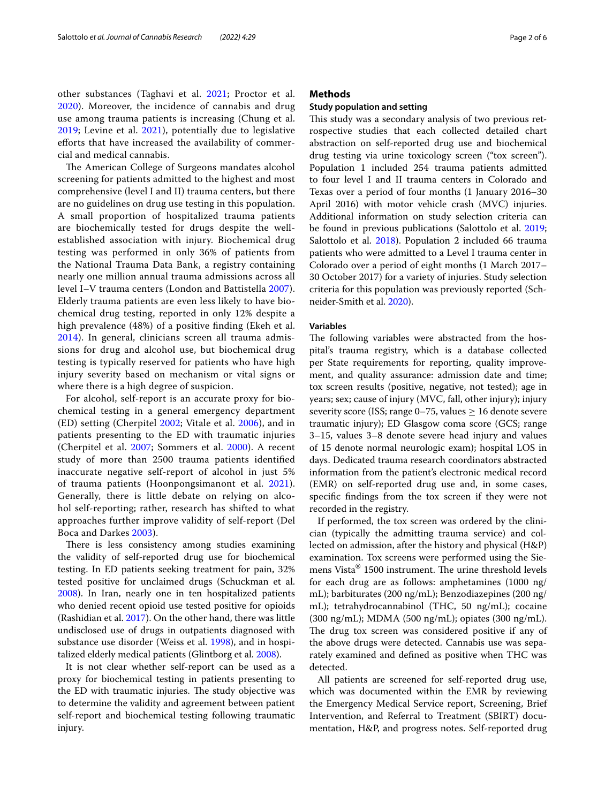The American College of Surgeons mandates alcohol screening for patients admitted to the highest and most comprehensive (level I and II) trauma centers, but there are no guidelines on drug use testing in this population. A small proportion of hospitalized trauma patients are biochemically tested for drugs despite the wellestablished association with injury. Biochemical drug testing was performed in only 36% of patients from the National Trauma Data Bank, a registry containing nearly one million annual trauma admissions across all level I–V trauma centers (London and Battistella [2007\)](#page-4-3). Elderly trauma patients are even less likely to have biochemical drug testing, reported in only 12% despite a high prevalence (48%) of a positive fnding (Ekeh et al. [2014\)](#page-4-4). In general, clinicians screen all trauma admissions for drug and alcohol use, but biochemical drug testing is typically reserved for patients who have high injury severity based on mechanism or vital signs or where there is a high degree of suspicion.

For alcohol, self-report is an accurate proxy for biochemical testing in a general emergency department (ED) setting (Cherpitel [2002;](#page-4-5) Vitale et al. [2006\)](#page-5-2), and in patients presenting to the ED with traumatic injuries (Cherpitel et al. [2007;](#page-4-6) Sommers et al. [2000\)](#page-4-7). A recent study of more than 2500 trauma patients identifed inaccurate negative self-report of alcohol in just 5% of trauma patients (Hoonpongsimanont et al. [2021\)](#page-4-8). Generally, there is little debate on relying on alcohol self-reporting; rather, research has shifted to what approaches further improve validity of self-report (Del Boca and Darkes [2003](#page-4-9)).

There is less consistency among studies examining the validity of self-reported drug use for biochemical testing. In ED patients seeking treatment for pain, 32% tested positive for unclaimed drugs (Schuckman et al. [2008](#page-4-10)). In Iran, nearly one in ten hospitalized patients who denied recent opioid use tested positive for opioids (Rashidian et al. [2017\)](#page-4-11). On the other hand, there was little undisclosed use of drugs in outpatients diagnosed with substance use disorder (Weiss et al. [1998\)](#page-5-3), and in hospitalized elderly medical patients (Glintborg et al. [2008](#page-4-12)).

It is not clear whether self-report can be used as a proxy for biochemical testing in patients presenting to the ED with traumatic injuries. The study objective was to determine the validity and agreement between patient self-report and biochemical testing following traumatic injury.

# **Methods**

## **Study population and setting**

This study was a secondary analysis of two previous retrospective studies that each collected detailed chart abstraction on self-reported drug use and biochemical drug testing via urine toxicology screen ("tox screen"). Population 1 included 254 trauma patients admitted to four level I and II trauma centers in Colorado and Texas over a period of four months (1 January 2016–30 April 2016) with motor vehicle crash (MVC) injuries. Additional information on study selection criteria can be found in previous publications (Salottolo et al. [2019](#page-4-13); Salottolo et al. [2018\)](#page-4-14). Population 2 included 66 trauma patients who were admitted to a Level I trauma center in Colorado over a period of eight months (1 March 2017– 30 October 2017) for a variety of injuries. Study selection criteria for this population was previously reported (Schneider-Smith et al. [2020\)](#page-4-15).

# **Variables**

The following variables were abstracted from the hospital's trauma registry, which is a database collected per State requirements for reporting, quality improvement, and quality assurance: admission date and time; tox screen results (positive, negative, not tested); age in years; sex; cause of injury (MVC, fall, other injury); injury severity score (ISS; range 0–75, values  $\geq$  16 denote severe traumatic injury); ED Glasgow coma score (GCS; range 3–15, values 3–8 denote severe head injury and values of 15 denote normal neurologic exam); hospital LOS in days. Dedicated trauma research coordinators abstracted information from the patient's electronic medical record (EMR) on self-reported drug use and, in some cases, specifc fndings from the tox screen if they were not recorded in the registry.

If performed, the tox screen was ordered by the clinician (typically the admitting trauma service) and collected on admission, after the history and physical (H&P) examination. Tox screens were performed using the Siemens Vista $^{\circledR}$  1500 instrument. The urine threshold levels for each drug are as follows: amphetamines (1000 ng/ mL); barbiturates (200 ng/mL); Benzodiazepines (200 ng/ mL); tetrahydrocannabinol (THC, 50 ng/mL); cocaine (300 ng/mL); MDMA (500 ng/mL); opiates (300 ng/mL). The drug tox screen was considered positive if any of the above drugs were detected. Cannabis use was separately examined and defned as positive when THC was detected.

All patients are screened for self-reported drug use, which was documented within the EMR by reviewing the Emergency Medical Service report, Screening, Brief Intervention, and Referral to Treatment (SBIRT) documentation, H&P, and progress notes. Self-reported drug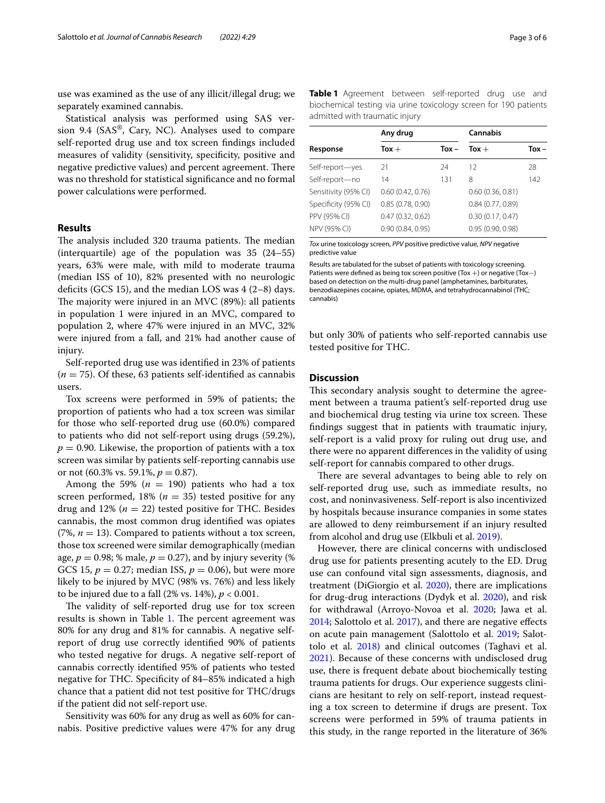use was examined as the use of any illicit/illegal drug; we separately examined cannabis.

Statistical analysis was performed using SAS version 9.4 (SAS®, Cary, NC). Analyses used to compare self-reported drug use and tox screen fndings included measures of validity (sensitivity, specifcity, positive and negative predictive values) and percent agreement. There was no threshold for statistical signifcance and no formal power calculations were performed.

## **Results**

The analysis included 320 trauma patients. The median (interquartile) age of the population was 35 (24–55) years, 63% were male, with mild to moderate trauma (median ISS of 10), 82% presented with no neurologic deficits (GCS 15), and the median LOS was  $4(2-8)$  days. The majority were injured in an MVC  $(89%)$ : all patients in population 1 were injured in an MVC, compared to population 2, where 47% were injured in an MVC, 32% were injured from a fall, and 21% had another cause of injury.

Self-reported drug use was identifed in 23% of patients  $(n = 75)$ . Of these, 63 patients self-identified as cannabis users.

Tox screens were performed in 59% of patients; the proportion of patients who had a tox screen was similar for those who self-reported drug use (60.0%) compared to patients who did not self-report using drugs (59.2%),  $p = 0.90$ . Likewise, the proportion of patients with a tox screen was similar by patients self-reporting cannabis use or not  $(60.3\% \text{ vs. } 59.1\%, p = 0.87)$ .

Among the 59% ( $n = 190$ ) patients who had a tox screen performed,  $18\%$  ( $n = 35$ ) tested positive for any drug and  $12\%$  ( $n = 22$ ) tested positive for THC. Besides cannabis, the most common drug identifed was opiates (7%,  $n = 13$ ). Compared to patients without a tox screen, those tox screened were similar demographically (median age,  $p = 0.98$ ; % male,  $p = 0.27$ ), and by injury severity (%) GCS 15,  $p = 0.27$ ; median ISS,  $p = 0.06$ ), but were more likely to be injured by MVC (98% vs. 76%) and less likely to be injured due to a fall (2% vs. 14%), *p* < 0.001.

The validity of self-reported drug use for tox screen results is shown in Table [1](#page-2-0). The percent agreement was 80% for any drug and 81% for cannabis. A negative selfreport of drug use correctly identifed 90% of patients who tested negative for drugs. A negative self-report of cannabis correctly identifed 95% of patients who tested negative for THC. Specifcity of 84–85% indicated a high chance that a patient did not test positive for THC/drugs if the patient did not self-report use.

Sensitivity was 60% for any drug as well as 60% for cannabis. Positive predictive values were 47% for any drug <span id="page-2-0"></span>**Table 1** Agreement between self-reported drug use and biochemical testing via urine toxicology screen for 190 patients admitted with traumatic injury

| Response             | Any drug         |         | Cannabis         |       |
|----------------------|------------------|---------|------------------|-------|
|                      | Tox $+$          | $Tox -$ | $Tox +$          | Tox - |
| Self-report-yes      | 21               | 24      | 12               | 28    |
| Self-report-no       | 14               | 131     | 8                | 142   |
| Sensitivity (95% CI) | 0.60(0.42, 0.76) |         | 0.60(0.36, 0.81) |       |
| Specificity (95% CI) | 0.85(0.78, 0.90) |         | 0.84(0.77, 0.89) |       |
| PPV (95% CI)         | 0.47(0.32, 0.62) |         | 0.30(0.17, 0.47) |       |
| NPV (95% CI)         | 0.90(0.84, 0.95) |         | 0.95(0.90, 0.98) |       |

*Tox* urine toxicology screen, *PPV* positive predictive value, *NPV* negative predictive value

Results are tabulated for the subset of patients with toxicology screening. Patients were defned as being tox screen positive (Tox +) or negative (Tox−) based on detection on the multi-drug panel (amphetamines, barbiturates, benzodiazepines cocaine, opiates, MDMA, and tetrahydrocannabinol (THC; cannabis)

but only 30% of patients who self-reported cannabis use tested positive for THC.

## **Discussion**

This secondary analysis sought to determine the agreement between a trauma patient's self-reported drug use and biochemical drug testing via urine tox screen. These fndings suggest that in patients with traumatic injury, self-report is a valid proxy for ruling out drug use, and there were no apparent diferences in the validity of using self-report for cannabis compared to other drugs.

There are several advantages to being able to rely on self-reported drug use, such as immediate results, no cost, and noninvasiveness. Self-report is also incentivized by hospitals because insurance companies in some states are allowed to deny reimbursement if an injury resulted from alcohol and drug use (Elkbuli et al. [2019](#page-4-16)).

However, there are clinical concerns with undisclosed drug use for patients presenting acutely to the ED. Drug use can confound vital sign assessments, diagnosis, and treatment (DiGiorgio et al. [2020](#page-4-17)), there are implications for drug-drug interactions (Dydyk et al. [2020](#page-4-18)), and risk for withdrawal (Arroyo-Novoa et al. [2020](#page-4-19); Jawa et al. [2014](#page-4-20); Salottolo et al. [2017](#page-4-21)), and there are negative efects on acute pain management (Salottolo et al. [2019](#page-4-13); Salottolo et al. [2018](#page-4-14)) and clinical outcomes (Taghavi et al. [2021](#page-5-1)). Because of these concerns with undisclosed drug use, there is frequent debate about biochemically testing trauma patients for drugs. Our experience suggests clinicians are hesitant to rely on self-report, instead requesting a tox screen to determine if drugs are present. Tox screens were performed in 59% of trauma patients in this study, in the range reported in the literature of 36%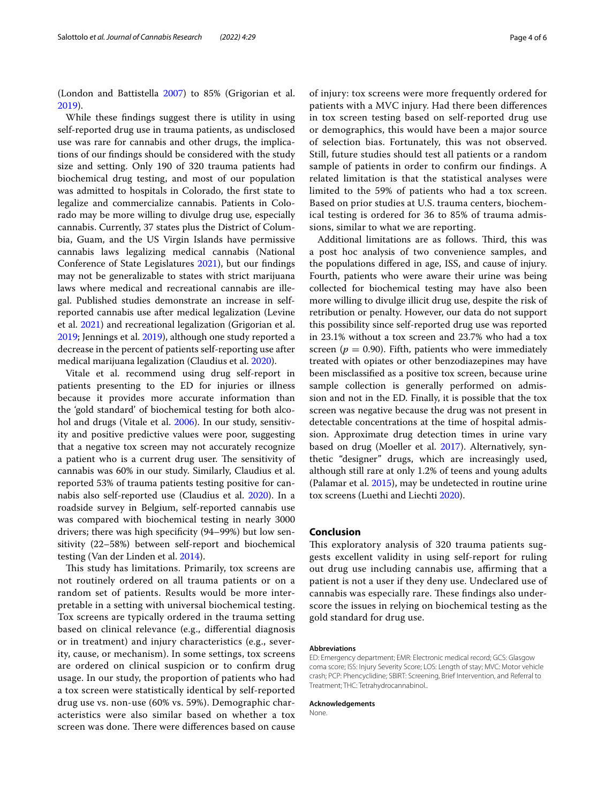(London and Battistella [2007](#page-4-3)) to 85% (Grigorian et al. [2019](#page-4-22)).

While these fndings suggest there is utility in using self-reported drug use in trauma patients, as undisclosed use was rare for cannabis and other drugs, the implications of our fndings should be considered with the study size and setting. Only 190 of 320 trauma patients had biochemical drug testing, and most of our population was admitted to hospitals in Colorado, the frst state to legalize and commercialize cannabis. Patients in Colorado may be more willing to divulge drug use, especially cannabis. Currently, 37 states plus the District of Columbia, Guam, and the US Virgin Islands have permissive cannabis laws legalizing medical cannabis (National Conference of State Legislatures [2021](#page-4-23)), but our fndings may not be generalizable to states with strict marijuana laws where medical and recreational cannabis are illegal. Published studies demonstrate an increase in selfreported cannabis use after medical legalization (Levine et al. [2021](#page-4-2)) and recreational legalization (Grigorian et al. [2019](#page-4-22); Jennings et al. [2019\)](#page-4-24), although one study reported a decrease in the percent of patients self-reporting use after medical marijuana legalization (Claudius et al. [2020](#page-4-25)).

Vitale et al. recommend using drug self-report in patients presenting to the ED for injuries or illness because it provides more accurate information than the 'gold standard' of biochemical testing for both alcohol and drugs (Vitale et al. [2006](#page-5-2)). In our study, sensitivity and positive predictive values were poor, suggesting that a negative tox screen may not accurately recognize a patient who is a current drug user. The sensitivity of cannabis was 60% in our study. Similarly, Claudius et al. reported 53% of trauma patients testing positive for cannabis also self-reported use (Claudius et al. [2020](#page-4-25)). In a roadside survey in Belgium, self-reported cannabis use was compared with biochemical testing in nearly 3000 drivers; there was high specifcity (94–99%) but low sensitivity (22–58%) between self-report and biochemical testing (Van der Linden et al. [2014\)](#page-5-4).

This study has limitations. Primarily, tox screens are not routinely ordered on all trauma patients or on a random set of patients. Results would be more interpretable in a setting with universal biochemical testing. Tox screens are typically ordered in the trauma setting based on clinical relevance (e.g., diferential diagnosis or in treatment) and injury characteristics (e.g., severity, cause, or mechanism). In some settings, tox screens are ordered on clinical suspicion or to confrm drug usage. In our study, the proportion of patients who had a tox screen were statistically identical by self-reported drug use vs. non-use (60% vs. 59%). Demographic characteristics were also similar based on whether a tox screen was done. There were differences based on cause of injury: tox screens were more frequently ordered for patients with a MVC injury. Had there been diferences in tox screen testing based on self-reported drug use or demographics, this would have been a major source of selection bias. Fortunately, this was not observed. Still, future studies should test all patients or a random sample of patients in order to confrm our fndings. A related limitation is that the statistical analyses were limited to the 59% of patients who had a tox screen. Based on prior studies at U.S. trauma centers, biochemical testing is ordered for 36 to 85% of trauma admissions, similar to what we are reporting.

Additional limitations are as follows. Third, this was a post hoc analysis of two convenience samples, and the populations difered in age, ISS, and cause of injury. Fourth, patients who were aware their urine was being collected for biochemical testing may have also been more willing to divulge illicit drug use, despite the risk of retribution or penalty. However, our data do not support this possibility since self-reported drug use was reported in 23.1% without a tox screen and 23.7% who had a tox screen ( $p = 0.90$ ). Fifth, patients who were immediately treated with opiates or other benzodiazepines may have been misclassifed as a positive tox screen, because urine sample collection is generally performed on admission and not in the ED. Finally, it is possible that the tox screen was negative because the drug was not present in detectable concentrations at the time of hospital admission. Approximate drug detection times in urine vary based on drug (Moeller et al. [2017](#page-4-26)). Alternatively, synthetic "designer" drugs, which are increasingly used, although still rare at only 1.2% of teens and young adults (Palamar et al. [2015\)](#page-4-27), may be undetected in routine urine tox screens (Luethi and Liechti [2020](#page-4-28)).

#### **Conclusion**

This exploratory analysis of 320 trauma patients suggests excellent validity in using self-report for ruling out drug use including cannabis use, affirming that a patient is not a user if they deny use. Undeclared use of cannabis was especially rare. These findings also underscore the issues in relying on biochemical testing as the gold standard for drug use.

#### **Abbreviations**

ED: Emergency department; EMR: Electronic medical record; GCS: Glasgow coma score; ISS: Injury Severity Score; LOS: Length of stay; MVC: Motor vehicle crash; PCP: Phencyclidine; SBIRT: Screening, Brief Intervention, and Referral to Treatment; THC: Tetrahydrocannabinol..

#### **Acknowledgements**

**None**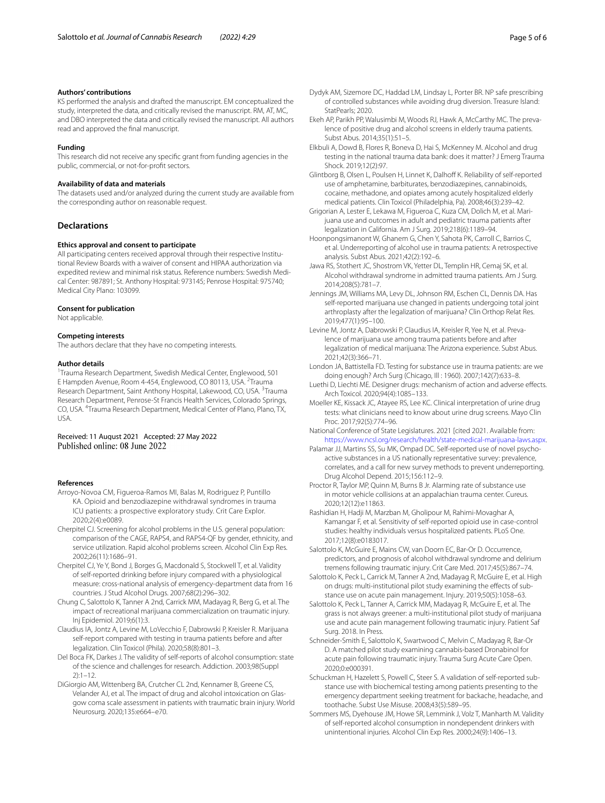#### **Authors' contributions**

KS performed the analysis and drafted the manuscript. EM conceptualized the study, interpreted the data, and critically revised the manuscript. RM, AT, MC, and DBO interpreted the data and critically revised the manuscript. All authors read and approved the fnal manuscript.

#### **Funding**

This research did not receive any specifc grant from funding agencies in the public, commercial, or not-for-proft sectors.

#### **Availability of data and materials**

The datasets used and/or analyzed during the current study are available from the corresponding author on reasonable request.

### **Declarations**

#### **Ethics approval and consent to participate**

All participating centers received approval through their respective Institutional Review Boards with a waiver of consent and HIPAA authorization via expedited review and minimal risk status. Reference numbers: Swedish Medical Center: 987891; St. Anthony Hospital: 973145; Penrose Hospital: 975740; Medical City Plano: 103099.

#### **Consent for publication**

Not applicable.

#### **Competing interests**

The authors declare that they have no competing interests.

#### **Author details**

<sup>1</sup> Trauma Research Department, Swedish Medical Center, Englewood, 501 E Hampden Avenue, Room 4-454, Englewood, CO 80113, USA. <sup>2</sup>Trauma Research Department, Saint Anthony Hospital, Lakewood, CO, USA. <sup>3</sup>Trauma Research Department, Penrose-St Francis Health Services, Colorado Springs, CO, USA. <sup>4</sup> Trauma Research Department, Medical Center of Plano, Plano, TX, USA.

Received: 11 August 2021 Accepted: 27 May 2022 Published online: 08 June 2022

#### **References**

- <span id="page-4-19"></span>Arroyo-Novoa CM, Figueroa-Ramos MI, Balas M, Rodriguez P, Puntillo KA. Opioid and benzodiazepine withdrawal syndromes in trauma ICU patients: a prospective exploratory study. Crit Care Explor. 2020;2(4):e0089.
- <span id="page-4-5"></span>Cherpitel CJ. Screening for alcohol problems in the U.S. general population: comparison of the CAGE, RAPS4, and RAPS4-QF by gender, ethnicity, and service utilization. Rapid alcohol problems screen. Alcohol Clin Exp Res. 2002;26(11):1686–91.
- <span id="page-4-6"></span>Cherpitel CJ, Ye Y, Bond J, Borges G, Macdonald S, Stockwell T, et al. Validity of self-reported drinking before injury compared with a physiological measure: cross-national analysis of emergency-department data from 16 countries. J Stud Alcohol Drugs. 2007;68(2):296–302.
- <span id="page-4-1"></span>Chung C, Salottolo K, Tanner A 2nd, Carrick MM, Madayag R, Berg G, et al. The impact of recreational marijuana commercialization on traumatic injury. Inj Epidemiol. 2019;6(1):3.
- <span id="page-4-25"></span>Claudius IA, Jontz A, Levine M, LoVecchio F, Dabrowski P, Kreisler R. Marijuana self-report compared with testing in trauma patients before and after legalization. Clin Toxicol (Phila). 2020;58(8):801–3.
- <span id="page-4-9"></span>Del Boca FK, Darkes J. The validity of self-reports of alcohol consumption: state of the science and challenges for research. Addiction. 2003;98(Suppl 2):1–12.
- <span id="page-4-17"></span>DiGiorgio AM, Wittenberg BA, Crutcher CL 2nd, Kennamer B, Greene CS, Velander AJ, et al. The impact of drug and alcohol intoxication on Glasgow coma scale assessment in patients with traumatic brain injury. World Neurosurg. 2020;135:e664–e70.
- <span id="page-4-18"></span>Dydyk AM, Sizemore DC, Haddad LM, Lindsay L, Porter BR. NP safe prescribing of controlled substances while avoiding drug diversion. Treasure Island: StatPearls: 2020
- <span id="page-4-4"></span>Ekeh AP, Parikh PP, Walusimbi M, Woods RJ, Hawk A, McCarthy MC. The prevalence of positive drug and alcohol screens in elderly trauma patients. Subst Abus. 2014;35(1):51–5.
- <span id="page-4-16"></span>Elkbuli A, Dowd B, Flores R, Boneva D, Hai S, McKenney M. Alcohol and drug testing in the national trauma data bank: does it matter? J Emerg Trauma Shock. 2019;12(2):97.
- <span id="page-4-12"></span>Glintborg B, Olsen L, Poulsen H, Linnet K, Dalhoff K. Reliability of self-reported use of amphetamine, barbiturates, benzodiazepines, cannabinoids, cocaine, methadone, and opiates among acutely hospitalized elderly medical patients. Clin Toxicol (Philadelphia, Pa). 2008;46(3):239–42.
- <span id="page-4-22"></span>Grigorian A, Lester E, Lekawa M, Figueroa C, Kuza CM, Dolich M, et al. Marijuana use and outcomes in adult and pediatric trauma patients after legalization in California. Am J Surg. 2019;218(6):1189–94.
- <span id="page-4-8"></span>Hoonpongsimanont W, Ghanem G, Chen Y, Sahota PK, Carroll C, Barrios C, et al. Underreporting of alcohol use in trauma patients: A retrospective analysis. Subst Abus. 2021;42(2):192–6.
- <span id="page-4-20"></span>Jawa RS, Stothert JC, Shostrom VK, Yetter DL, Templin HR, Cemaj SK, et al. Alcohol withdrawal syndrome in admitted trauma patients. Am J Surg. 2014;208(5):781–7.
- <span id="page-4-24"></span>Jennings JM, Williams MA, Levy DL, Johnson RM, Eschen CL, Dennis DA. Has self-reported marijuana use changed in patients undergoing total joint arthroplasty after the legalization of marijuana? Clin Orthop Relat Res. 2019;477(1):95–100.
- <span id="page-4-2"></span>Levine M, Jontz A, Dabrowski P, Claudius IA, Kreisler R, Yee N, et al. Prevalence of marijuana use among trauma patients before and after legalization of medical marijuana: The Arizona experience. Subst Abus. 2021;42(3):366–71.
- <span id="page-4-3"></span>London JA, Battistella FD. Testing for substance use in trauma patients: are we doing enough? Arch Surg (Chicago, Ill : 1960). 2007;142(7):633–8.
- <span id="page-4-28"></span>Luethi D, Liechti ME. Designer drugs: mechanism of action and adverse efects. Arch Toxicol. 2020;94(4):1085–133.
- <span id="page-4-26"></span>Moeller KE, Kissack JC, Atayee RS, Lee KC. Clinical interpretation of urine drug tests: what clinicians need to know about urine drug screens. Mayo Clin Proc. 2017;92(5):774–96.

<span id="page-4-23"></span>National Conference of State Legislatures. 2021 [cited 2021. Available from: <https://www.ncsl.org/research/health/state-medical-marijuana-laws.aspx>.

- <span id="page-4-27"></span>Palamar JJ, Martins SS, Su MK, Ompad DC. Self-reported use of novel psychoactive substances in a US nationally representative survey: prevalence, correlates, and a call for new survey methods to prevent underreporting. Drug Alcohol Depend. 2015;156:112–9.
- <span id="page-4-0"></span>Proctor R, Taylor MP, Quinn M, Burns B Jr. Alarming rate of substance use in motor vehicle collisions at an appalachian trauma center. Cureus. 2020;12(12):e11863.
- <span id="page-4-11"></span>Rashidian H, Hadji M, Marzban M, Gholipour M, Rahimi-Movaghar A, Kamangar F, et al. Sensitivity of self-reported opioid use in case-control studies: healthy individuals versus hospitalized patients. PLoS One. 2017;12(8):e0183017.
- <span id="page-4-21"></span>Salottolo K, McGuire E, Mains CW, van Doorn EC, Bar-Or D. Occurrence, predictors, and prognosis of alcohol withdrawal syndrome and delirium tremens following traumatic injury. Crit Care Med. 2017;45(5):867–74.
- <span id="page-4-13"></span>Salottolo K, Peck L, Carrick M, Tanner A 2nd, Madayag R, McGuire E, et al. High on drugs: multi-institutional pilot study examining the effects of substance use on acute pain management. Injury. 2019;50(5):1058–63.
- <span id="page-4-14"></span>Salottolo K, Peck L, Tanner A, Carrick MM, Madayag R, McGuire E, et al. The grass is not always greener: a multi-institutional pilot study of marijuana use and acute pain management following traumatic injury. Patient Saf Surg. 2018. In Press.
- <span id="page-4-15"></span>Schneider-Smith E, Salottolo K, Swartwood C, Melvin C, Madayag R, Bar-Or D. A matched pilot study examining cannabis-based Dronabinol for acute pain following traumatic injury. Trauma Surg Acute Care Open. 2020;0:e000391.
- <span id="page-4-10"></span>Schuckman H, Hazelett S, Powell C, Steer S. A validation of self-reported substance use with biochemical testing among patients presenting to the emergency department seeking treatment for backache, headache, and toothache. Subst Use Misuse. 2008;43(5):589–95.
- <span id="page-4-7"></span>Sommers MS, Dyehouse JM, Howe SR, Lemmink J, Volz T, Manharth M. Validity of self-reported alcohol consumption in nondependent drinkers with unintentional injuries. Alcohol Clin Exp Res. 2000;24(9):1406–13.